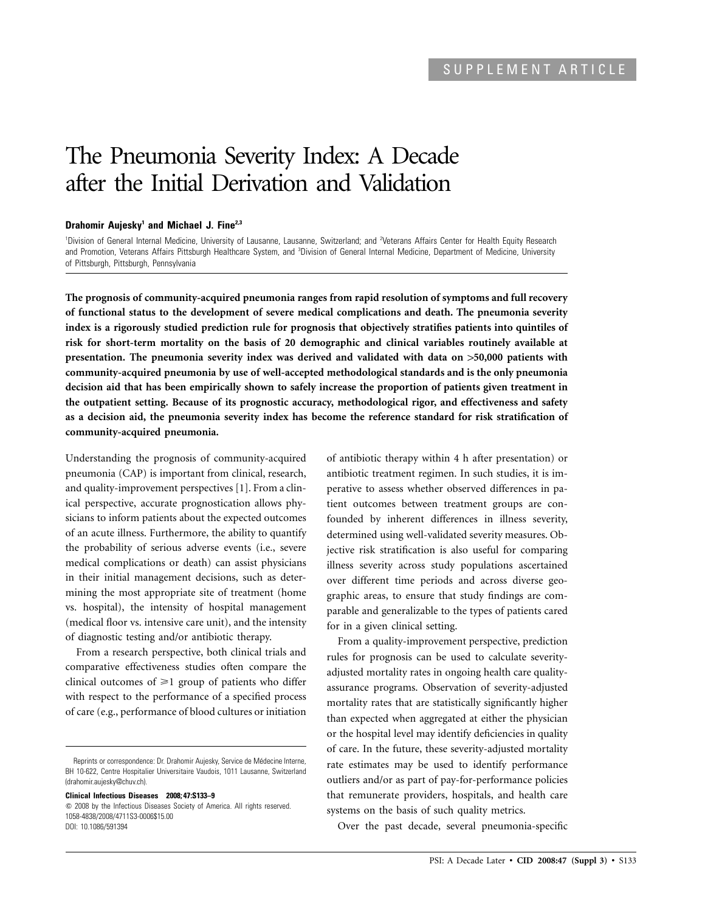# The Pneumonia Severity Index: A Decade after the Initial Derivation and Validation

### **Drahomir Aujesky<sup>1</sup> and Michael J. Fine<sup>2,3</sup>**

<sup>1</sup>Division of General Internal Medicine, University of Lausanne, Lausanne, Switzerland; and <sup>2</sup>Veterans Affairs Center for Health Equity Research and Promotion, Veterans Affairs Pittsburgh Healthcare System, and <sup>3</sup>Division of General Internal Medicine, Department of Medicine, University of Pittsburgh, Pittsburgh, Pennsylvania

**The prognosis of community-acquired pneumonia ranges from rapid resolution of symptoms and full recovery of functional status to the development of severe medical complications and death. The pneumonia severity index is a rigorously studied prediction rule for prognosis that objectively stratifies patients into quintiles of risk for short-term mortality on the basis of 20 demographic and clinical variables routinely available at presentation. The pneumonia severity index was derived and validated with data on** 1**50,000 patients with community-acquired pneumonia by use of well-accepted methodological standards and is the only pneumonia decision aid that has been empirically shown to safely increase the proportion of patients given treatment in the outpatient setting. Because of its prognostic accuracy, methodological rigor, and effectiveness and safety as a decision aid, the pneumonia severity index has become the reference standard for risk stratification of community-acquired pneumonia.**

Understanding the prognosis of community-acquired pneumonia (CAP) is important from clinical, research, and quality-improvement perspectives [1]. From a clinical perspective, accurate prognostication allows physicians to inform patients about the expected outcomes of an acute illness. Furthermore, the ability to quantify the probability of serious adverse events (i.e., severe medical complications or death) can assist physicians in their initial management decisions, such as determining the most appropriate site of treatment (home vs. hospital), the intensity of hospital management (medical floor vs. intensive care unit), and the intensity of diagnostic testing and/or antibiotic therapy.

From a research perspective, both clinical trials and comparative effectiveness studies often compare the clinical outcomes of  $\geq 1$  group of patients who differ with respect to the performance of a specified process of care (e.g., performance of blood cultures or initiation

**Clinical Infectious Diseases 2008; 47:S133–9**

 $\degree$  2008 by the Infectious Diseases Society of America. All rights reserved. 1058-4838/2008/4711S3-0006\$15.00 DOI: 10.1086/591394

of antibiotic therapy within 4 h after presentation) or antibiotic treatment regimen. In such studies, it is imperative to assess whether observed differences in patient outcomes between treatment groups are confounded by inherent differences in illness severity, determined using well-validated severity measures. Objective risk stratification is also useful for comparing illness severity across study populations ascertained over different time periods and across diverse geographic areas, to ensure that study findings are comparable and generalizable to the types of patients cared for in a given clinical setting.

From a quality-improvement perspective, prediction rules for prognosis can be used to calculate severityadjusted mortality rates in ongoing health care qualityassurance programs. Observation of severity-adjusted mortality rates that are statistically significantly higher than expected when aggregated at either the physician or the hospital level may identify deficiencies in quality of care. In the future, these severity-adjusted mortality rate estimates may be used to identify performance outliers and/or as part of pay-for-performance policies that remunerate providers, hospitals, and health care systems on the basis of such quality metrics.

Over the past decade, several pneumonia-specific

Reprints or correspondence: Dr. Drahomir Aujesky, Service de Médecine Interne, BH 10-622, Centre Hospitalier Universitaire Vaudois, 1011 Lausanne, Switzerland (drahomir.aujesky@chuv.ch).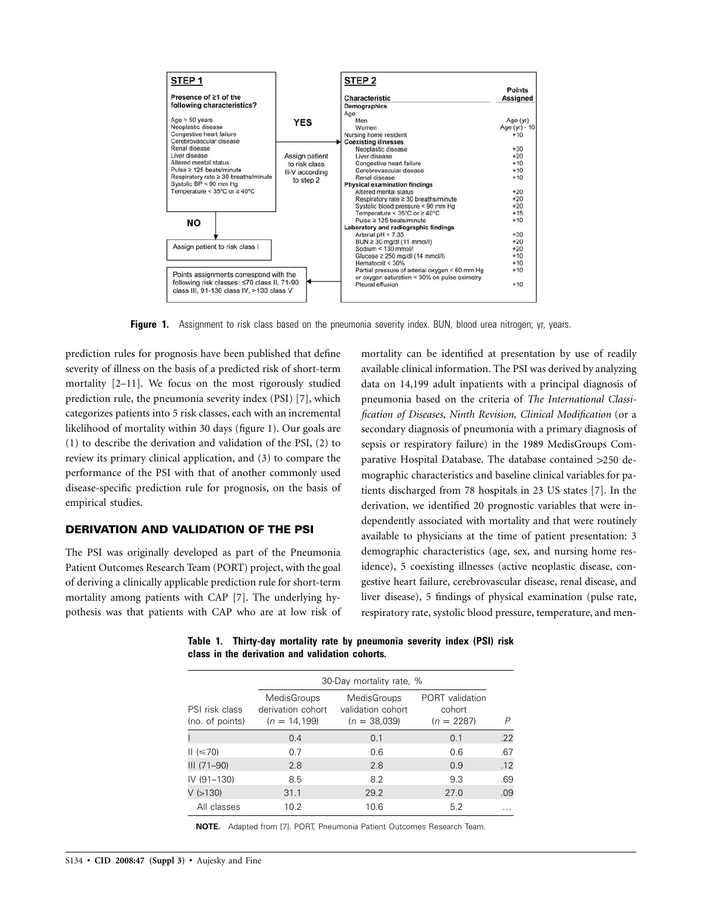

**Figure 1.** Assignment to risk class based on the pneumonia severity index. BUN, blood urea nitrogen; yr, years.

prediction rules for prognosis have been published that define severity of illness on the basis of a predicted risk of short-term mortality [2–11]. We focus on the most rigorously studied prediction rule, the pneumonia severity index (PSI) [7], which categorizes patients into 5 risk classes, each with an incremental likelihood of mortality within 30 days (figure 1). Our goals are (1) to describe the derivation and validation of the PSI, (2) to review its primary clinical application, and (3) to compare the performance of the PSI with that of another commonly used disease-specific prediction rule for prognosis, on the basis of empirical studies.

## **DERIVATION AND VALIDATION OF THE PSI**

The PSI was originally developed as part of the Pneumonia Patient Outcomes Research Team (PORT) project, with the goal of deriving a clinically applicable prediction rule for short-term mortality among patients with CAP [7]. The underlying hypothesis was that patients with CAP who are at low risk of

mortality can be identified at presentation by use of readily available clinical information. The PSI was derived by analyzing data on 14,199 adult inpatients with a principal diagnosis of pneumonia based on the criteria of *The International Classification of Diseases, Ninth Revision, Clinical Modification* (or a secondary diagnosis of pneumonia with a primary diagnosis of sepsis or respiratory failure) in the 1989 MedisGroups Comparative Hospital Database. The database contained >250 demographic characteristics and baseline clinical variables for patients discharged from 78 hospitals in 23 US states [7]. In the derivation, we identified 20 prognostic variables that were independently associated with mortality and that were routinely available to physicians at the time of patient presentation: 3 demographic characteristics (age, sex, and nursing home residence), 5 coexisting illnesses (active neoplastic disease, congestive heart failure, cerebrovascular disease, renal disease, and liver disease), 5 findings of physical examination (pulse rate, respiratory rate, systolic blood pressure, temperature, and men-

**Table 1. Thirty-day mortality rate by pneumonia severity index (PSI) risk class in the derivation and validation cohorts.**

|                                   | 30-Day mortality rate, %                                  |                                                           |                                                  |     |  |  |
|-----------------------------------|-----------------------------------------------------------|-----------------------------------------------------------|--------------------------------------------------|-----|--|--|
| PSI risk class<br>(no. of points) | <b>MedisGroups</b><br>derivation cohort<br>$(n = 14.199)$ | <b>MedisGroups</b><br>validation cohort<br>$(n = 38,039)$ | <b>PORT</b> validation<br>cohort<br>$(n = 2287)$ | P   |  |  |
|                                   | 0.4                                                       | 0.1                                                       | 0.1                                              | .22 |  |  |
| $   (\leq 70)$                    | 0.7                                                       | 0.6                                                       | 0.6                                              | .67 |  |  |
| $III (71-90)$                     | 2.8                                                       | 2.8                                                       | 0.9                                              | .12 |  |  |
| IV (91-130)                       | 8.5                                                       | 8.2                                                       | 9.3                                              | .69 |  |  |
| V(>130)                           | 31.1                                                      | 29.2                                                      | 27.0                                             | .09 |  |  |
| All classes                       | 10.2                                                      | 10.6                                                      | 5.2                                              | .   |  |  |

**NOTE.** Adapted from [7]. PORT, Pneumonia Patient Outcomes Research Team.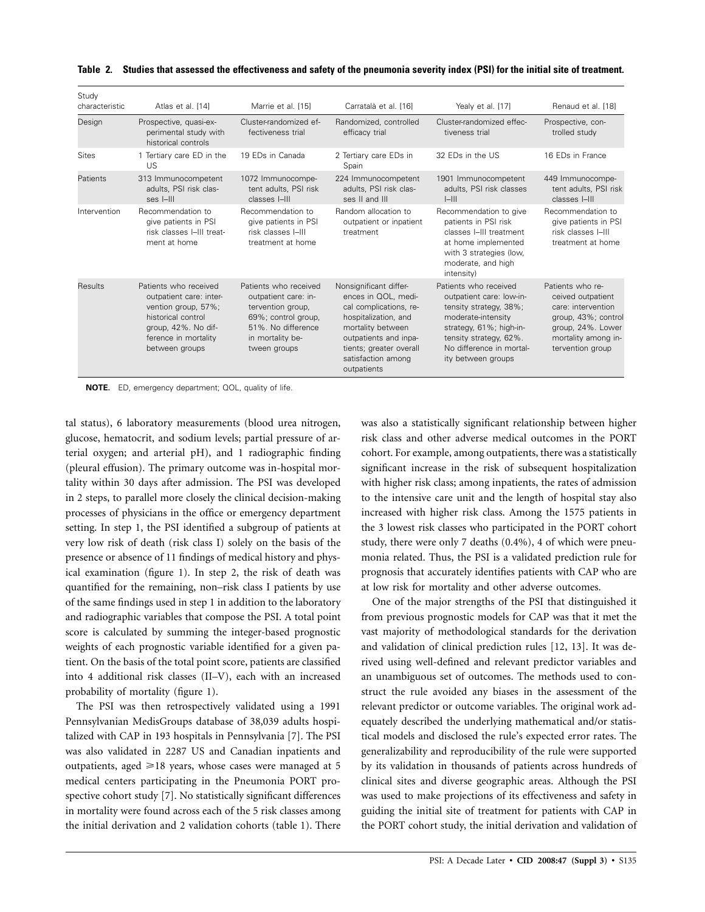| Study<br>characteristic | Atlas et al. [14]                                                                                                                                              | Marrie et al. [15]                                                                                                                                  | Carratalà et al. [16]                                                                                                                                                                                         | Yealy et al. [17]                                                                                                                                                                                        | Renaud et al. [18]                                                                                                                                 |
|-------------------------|----------------------------------------------------------------------------------------------------------------------------------------------------------------|-----------------------------------------------------------------------------------------------------------------------------------------------------|---------------------------------------------------------------------------------------------------------------------------------------------------------------------------------------------------------------|----------------------------------------------------------------------------------------------------------------------------------------------------------------------------------------------------------|----------------------------------------------------------------------------------------------------------------------------------------------------|
| Design                  | Prospective, quasi-ex-<br>perimental study with<br>historical controls                                                                                         | Cluster-randomized ef-<br>fectiveness trial                                                                                                         | Randomized, controlled<br>efficacy trial                                                                                                                                                                      | Cluster-randomized effec-<br>tiveness trial                                                                                                                                                              | Prospective, con-<br>trolled study                                                                                                                 |
| <b>Sites</b>            | 1 Tertiary care ED in the<br>US                                                                                                                                | 19 EDs in Canada                                                                                                                                    | 2 Tertiary care EDs in<br>Spain                                                                                                                                                                               | 32 EDs in the US                                                                                                                                                                                         | 16 EDs in France                                                                                                                                   |
| Patients                | 313 Immunocompetent<br>adults, PSI risk clas-<br>ses I-III                                                                                                     | 1072 Immunocompe-<br>tent adults, PSI risk<br>classes I-III                                                                                         | 224 Immunocompetent<br>adults, PSI risk clas-<br>ses II and III                                                                                                                                               | 1901 Immunocompetent<br>adults, PSI risk classes<br>$I$ -III                                                                                                                                             | 449 Immunocompe-<br>tent adults, PSI risk<br>classes I-III                                                                                         |
| Intervention            | Recommendation to<br>give patients in PSI<br>risk classes I-III treat-<br>ment at home                                                                         | Recommendation to<br>give patients in PSI<br>risk classes I-III<br>treatment at home                                                                | Random allocation to<br>outpatient or inpatient<br>treatment                                                                                                                                                  | Recommendation to give<br>patients in PSI risk<br>classes I-III treatment<br>at home implemented<br>with 3 strategies (low,<br>moderate, and high<br>intensity)                                          | Recommendation to<br>give patients in PSI<br>risk classes I-III<br>treatment at home                                                               |
| Results                 | Patients who received<br>outpatient care: inter-<br>vention group, 57%;<br>historical control<br>group, 42%. No dif-<br>ference in mortality<br>between groups | Patients who received<br>outpatient care: in-<br>tervention group,<br>69%; control group,<br>51%. No difference<br>in mortality be-<br>tween groups | Nonsignificant differ-<br>ences in QOL, medi-<br>cal complications, re-<br>hospitalization, and<br>mortality between<br>outpatients and inpa-<br>tients; greater overall<br>satisfaction among<br>outpatients | Patients who received<br>outpatient care: low-in-<br>tensity strategy, 38%;<br>moderate-intensity<br>strategy, 61%; high-in-<br>tensity strategy, 62%.<br>No difference in mortal-<br>ity between groups | Patients who re-<br>ceived outpatient<br>care: intervention<br>group, 43%; control<br>group, 24%. Lower<br>mortality among in-<br>tervention group |

**Table 2. Studies that assessed the effectiveness and safety of the pneumonia severity index (PSI) for the initial site of treatment.**

**NOTE.** ED, emergency department; QOL, quality of life.

tal status), 6 laboratory measurements (blood urea nitrogen, glucose, hematocrit, and sodium levels; partial pressure of arterial oxygen; and arterial pH), and 1 radiographic finding (pleural effusion). The primary outcome was in-hospital mortality within 30 days after admission. The PSI was developed in 2 steps, to parallel more closely the clinical decision-making processes of physicians in the office or emergency department setting. In step 1, the PSI identified a subgroup of patients at very low risk of death (risk class I) solely on the basis of the presence or absence of 11 findings of medical history and physical examination (figure 1). In step 2, the risk of death was quantified for the remaining, non–risk class I patients by use of the same findings used in step 1 in addition to the laboratory and radiographic variables that compose the PSI. A total point score is calculated by summing the integer-based prognostic weights of each prognostic variable identified for a given patient. On the basis of the total point score, patients are classified into 4 additional risk classes (II–V), each with an increased probability of mortality (figure 1).

The PSI was then retrospectively validated using a 1991 Pennsylvanian MedisGroups database of 38,039 adults hospitalized with CAP in 193 hospitals in Pennsylvania [7]. The PSI was also validated in 2287 US and Canadian inpatients and outpatients, aged  $\geq 18$  years, whose cases were managed at 5 medical centers participating in the Pneumonia PORT prospective cohort study [7]. No statistically significant differences in mortality were found across each of the 5 risk classes among the initial derivation and 2 validation cohorts (table 1). There was also a statistically significant relationship between higher risk class and other adverse medical outcomes in the PORT cohort. For example, among outpatients, there was a statistically significant increase in the risk of subsequent hospitalization with higher risk class; among inpatients, the rates of admission to the intensive care unit and the length of hospital stay also increased with higher risk class. Among the 1575 patients in the 3 lowest risk classes who participated in the PORT cohort study, there were only 7 deaths (0.4%), 4 of which were pneumonia related. Thus, the PSI is a validated prediction rule for prognosis that accurately identifies patients with CAP who are at low risk for mortality and other adverse outcomes.

One of the major strengths of the PSI that distinguished it from previous prognostic models for CAP was that it met the vast majority of methodological standards for the derivation and validation of clinical prediction rules [12, 13]. It was derived using well-defined and relevant predictor variables and an unambiguous set of outcomes. The methods used to construct the rule avoided any biases in the assessment of the relevant predictor or outcome variables. The original work adequately described the underlying mathematical and/or statistical models and disclosed the rule's expected error rates. The generalizability and reproducibility of the rule were supported by its validation in thousands of patients across hundreds of clinical sites and diverse geographic areas. Although the PSI was used to make projections of its effectiveness and safety in guiding the initial site of treatment for patients with CAP in the PORT cohort study, the initial derivation and validation of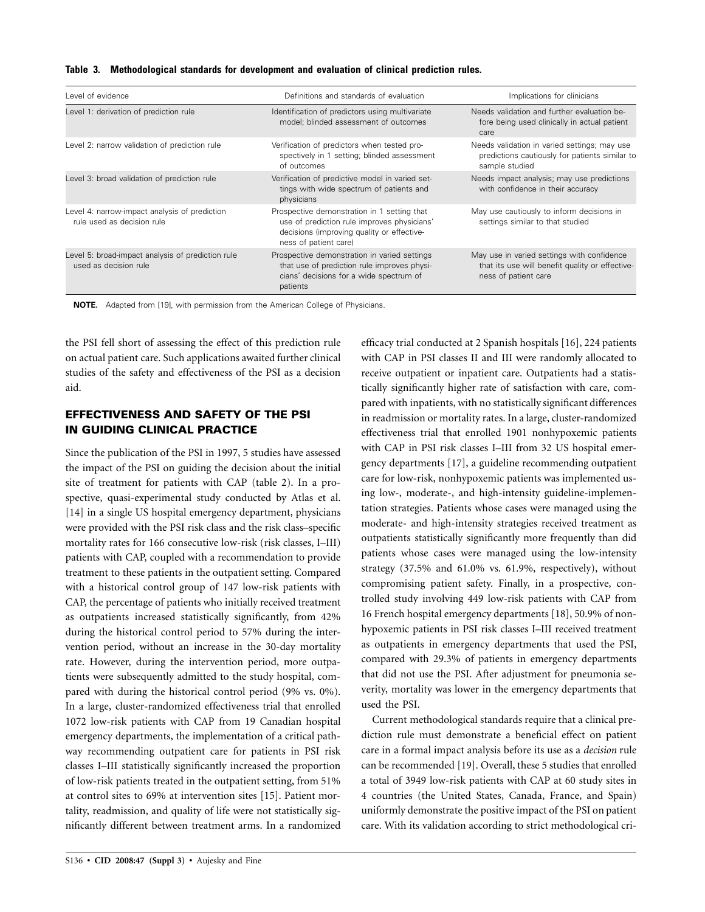|  | Table 3. Methodological standards for development and evaluation of clinical prediction rules. |  |  |  |  |  |  |  |
|--|------------------------------------------------------------------------------------------------|--|--|--|--|--|--|--|
|--|------------------------------------------------------------------------------------------------|--|--|--|--|--|--|--|

| Level of evidence                                                           | Definitions and standards of evaluation                                                                                                                           | Implications for clinicians                                                                                           |
|-----------------------------------------------------------------------------|-------------------------------------------------------------------------------------------------------------------------------------------------------------------|-----------------------------------------------------------------------------------------------------------------------|
| Level 1: derivation of prediction rule                                      | Identification of predictors using multivariate<br>model; blinded assessment of outcomes                                                                          | Needs validation and further evaluation be-<br>fore being used clinically in actual patient<br>care                   |
| Level 2: narrow validation of prediction rule                               | Verification of predictors when tested pro-<br>spectively in 1 setting; blinded assessment<br>of outcomes                                                         | Needs validation in varied settings; may use<br>predictions cautiously for patients similar to<br>sample studied      |
| Level 3: broad validation of prediction rule                                | Verification of predictive model in varied set-<br>tings with wide spectrum of patients and<br>physicians                                                         | Needs impact analysis; may use predictions<br>with confidence in their accuracy                                       |
| Level 4: narrow-impact analysis of prediction<br>rule used as decision rule | Prospective demonstration in 1 setting that<br>use of prediction rule improves physicians'<br>decisions (improving quality or effective-<br>ness of patient care) | May use cautiously to inform decisions in<br>settings similar to that studied                                         |
| Level 5: broad-impact analysis of prediction rule<br>used as decision rule  | Prospective demonstration in varied settings<br>that use of prediction rule improves physi-<br>cians' decisions for a wide spectrum of<br>patients                | May use in varied settings with confidence<br>that its use will benefit quality or effective-<br>ness of patient care |

**NOTE.** Adapted from [19], with permission from the American College of Physicians.

the PSI fell short of assessing the effect of this prediction rule on actual patient care. Such applications awaited further clinical studies of the safety and effectiveness of the PSI as a decision aid.

## **EFFECTIVENESS AND SAFETY OF THE PSI IN GUIDING CLINICAL PRACTICE**

Since the publication of the PSI in 1997, 5 studies have assessed the impact of the PSI on guiding the decision about the initial site of treatment for patients with CAP (table 2). In a prospective, quasi-experimental study conducted by Atlas et al. [14] in a single US hospital emergency department, physicians were provided with the PSI risk class and the risk class–specific mortality rates for 166 consecutive low-risk (risk classes, I–III) patients with CAP, coupled with a recommendation to provide treatment to these patients in the outpatient setting. Compared with a historical control group of 147 low-risk patients with CAP, the percentage of patients who initially received treatment as outpatients increased statistically significantly, from 42% during the historical control period to 57% during the intervention period, without an increase in the 30-day mortality rate. However, during the intervention period, more outpatients were subsequently admitted to the study hospital, compared with during the historical control period (9% vs. 0%). In a large, cluster-randomized effectiveness trial that enrolled 1072 low-risk patients with CAP from 19 Canadian hospital emergency departments, the implementation of a critical pathway recommending outpatient care for patients in PSI risk classes I–III statistically significantly increased the proportion of low-risk patients treated in the outpatient setting, from 51% at control sites to 69% at intervention sites [15]. Patient mortality, readmission, and quality of life were not statistically significantly different between treatment arms. In a randomized

with CAP in PSI classes II and III were randomly allocated to receive outpatient or inpatient care. Outpatients had a statistically significantly higher rate of satisfaction with care, compared with inpatients, with no statistically significant differences in readmission or mortality rates. In a large, cluster-randomized effectiveness trial that enrolled 1901 nonhypoxemic patients with CAP in PSI risk classes I–III from 32 US hospital emergency departments [17], a guideline recommending outpatient care for low-risk, nonhypoxemic patients was implemented using low-, moderate-, and high-intensity guideline-implementation strategies. Patients whose cases were managed using the moderate- and high-intensity strategies received treatment as outpatients statistically significantly more frequently than did patients whose cases were managed using the low-intensity strategy (37.5% and 61.0% vs. 61.9%, respectively), without compromising patient safety. Finally, in a prospective, controlled study involving 449 low-risk patients with CAP from 16 French hospital emergency departments [18], 50.9% of nonhypoxemic patients in PSI risk classes I–III received treatment as outpatients in emergency departments that used the PSI, compared with 29.3% of patients in emergency departments that did not use the PSI. After adjustment for pneumonia severity, mortality was lower in the emergency departments that used the PSI.

efficacy trial conducted at 2 Spanish hospitals [16], 224 patients

Current methodological standards require that a clinical prediction rule must demonstrate a beneficial effect on patient care in a formal impact analysis before its use as a *decision* rule can be recommended [19]. Overall, these 5 studies that enrolled a total of 3949 low-risk patients with CAP at 60 study sites in 4 countries (the United States, Canada, France, and Spain) uniformly demonstrate the positive impact of the PSI on patient care. With its validation according to strict methodological cri-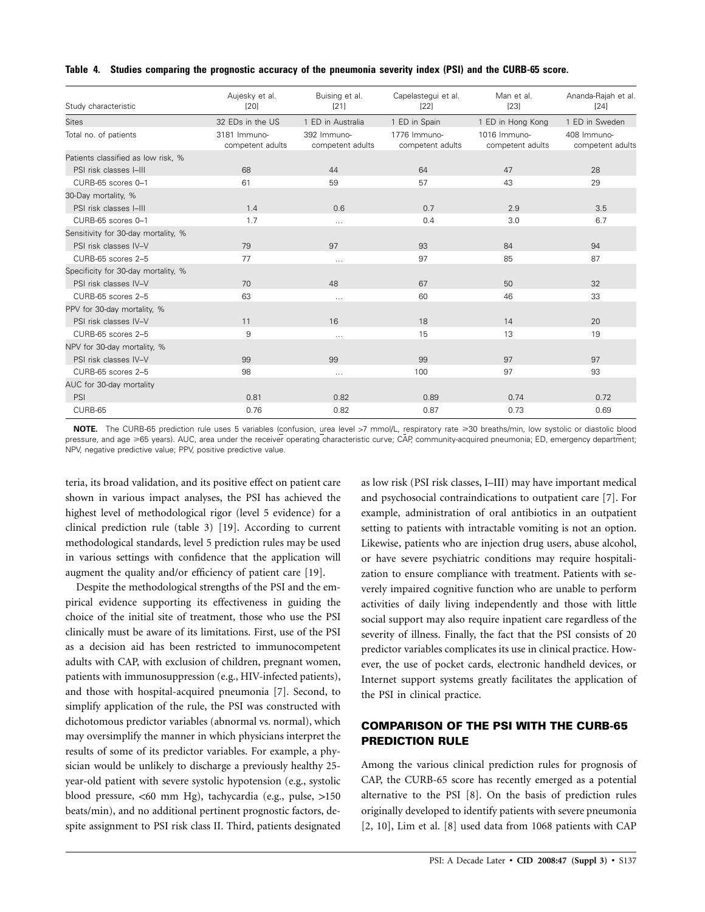| Table 4. |  |  |  |  |  | Studies comparing the prognostic accuracy of the pneumonia severity index (PSI) and the CURB-65 score. |
|----------|--|--|--|--|--|--------------------------------------------------------------------------------------------------------|
|----------|--|--|--|--|--|--------------------------------------------------------------------------------------------------------|

| Study characteristic                | Aujesky et al.<br>[20]           | Buising et al.<br>[21]          | Capelastegui et al.<br>[22]      | Man et al.<br>[23]               | Ananda-Rajah et al.<br>$[24]$   |
|-------------------------------------|----------------------------------|---------------------------------|----------------------------------|----------------------------------|---------------------------------|
| <b>Sites</b>                        | 32 EDs in the US                 | 1 ED in Australia               | 1 ED in Spain                    | 1 ED in Hong Kong                | 1 ED in Sweden                  |
| Total no. of patients               | 3181 Immuno-<br>competent adults | 392 Immuno-<br>competent adults | 1776 Immuno-<br>competent adults | 1016 Immuno-<br>competent adults | 408 Immuno-<br>competent adults |
| Patients classified as low risk. %  |                                  |                                 |                                  |                                  |                                 |
| PSI risk classes I-III              | 68                               | 44                              | 64                               | 47                               | 28                              |
| CURB-65 scores 0-1                  | 61                               | 59                              | 57                               | 43                               | 29                              |
| 30-Day mortality, %                 |                                  |                                 |                                  |                                  |                                 |
| PSI risk classes I-III              | 1.4                              | 0.6                             | 0.7                              | 2.9                              | 3.5                             |
| CURB-65 scores 0-1                  | 1.7                              | $\cdots$                        | 0.4                              | 3.0                              | 6.7                             |
| Sensitivity for 30-day mortality, % |                                  |                                 |                                  |                                  |                                 |
| PSI risk classes IV-V               | 79                               | 97                              | 93                               | 84                               | 94                              |
| CURB-65 scores 2-5                  | 77                               | $\cdots$                        | 97                               | 85                               | 87                              |
| Specificity for 30-day mortality, % |                                  |                                 |                                  |                                  |                                 |
| PSI risk classes IV-V               | 70                               | 48                              | 67                               | 50                               | 32                              |
| CURB-65 scores 2-5                  | 63                               | $\cdots$                        | 60                               | 46                               | 33                              |
| PPV for 30-day mortality, %         |                                  |                                 |                                  |                                  |                                 |
| PSI risk classes IV-V               | 11                               | 16                              | 18                               | 14                               | 20                              |
| CURB-65 scores 2-5                  | 9                                | $\cdots$                        | 15                               | 13                               | 19                              |
| NPV for 30-day mortality, %         |                                  |                                 |                                  |                                  |                                 |
| PSI risk classes IV-V               | 99                               | 99                              | 99                               | 97                               | 97                              |
| CURB-65 scores 2-5                  | 98                               | $\cdots$                        | 100                              | 97                               | 93                              |
| AUC for 30-day mortality            |                                  |                                 |                                  |                                  |                                 |
| PSI                                 | 0.81                             | 0.82                            | 0.89                             | 0.74                             | 0.72                            |
| CURB-65                             | 0.76                             | 0.82                            | 0.87                             | 0.73                             | 0.69                            |

NOTE. The CURB-65 prediction rule uses 5 variables (confusion, urea level >7 mmol/L, respiratory rate ≥30 breaths/min, low systolic or diastolic blood pressure, and age ≥65 years). AUC, area under the receiver operating characteristic curve; CAP, community-acquired pneumonia; ED, emergency department; NPV, negative predictive value; PPV, positive predictive value.

teria, its broad validation, and its positive effect on patient care shown in various impact analyses, the PSI has achieved the highest level of methodological rigor (level 5 evidence) for a clinical prediction rule (table 3) [19]. According to current methodological standards, level 5 prediction rules may be used in various settings with confidence that the application will augment the quality and/or efficiency of patient care [19].

Despite the methodological strengths of the PSI and the empirical evidence supporting its effectiveness in guiding the choice of the initial site of treatment, those who use the PSI clinically must be aware of its limitations. First, use of the PSI as a decision aid has been restricted to immunocompetent adults with CAP, with exclusion of children, pregnant women, patients with immunosuppression (e.g., HIV-infected patients), and those with hospital-acquired pneumonia [7]. Second, to simplify application of the rule, the PSI was constructed with dichotomous predictor variables (abnormal vs. normal), which may oversimplify the manner in which physicians interpret the results of some of its predictor variables. For example, a physician would be unlikely to discharge a previously healthy 25 year-old patient with severe systolic hypotension (e.g., systolic blood pressure,  $<60$  mm Hg), tachycardia (e.g., pulse,  $>150$ beats/min), and no additional pertinent prognostic factors, despite assignment to PSI risk class II. Third, patients designated

as low risk (PSI risk classes, I–III) may have important medical and psychosocial contraindications to outpatient care [7]. For example, administration of oral antibiotics in an outpatient setting to patients with intractable vomiting is not an option. Likewise, patients who are injection drug users, abuse alcohol, or have severe psychiatric conditions may require hospitalization to ensure compliance with treatment. Patients with severely impaired cognitive function who are unable to perform activities of daily living independently and those with little social support may also require inpatient care regardless of the severity of illness. Finally, the fact that the PSI consists of 20 predictor variables complicates its use in clinical practice. However, the use of pocket cards, electronic handheld devices, or Internet support systems greatly facilitates the application of the PSI in clinical practice.

## **COMPARISON OF THE PSI WITH THE CURB-65 PREDICTION RULE**

Among the various clinical prediction rules for prognosis of CAP, the CURB-65 score has recently emerged as a potential alternative to the PSI [8]. On the basis of prediction rules originally developed to identify patients with severe pneumonia [2, 10], Lim et al. [8] used data from 1068 patients with CAP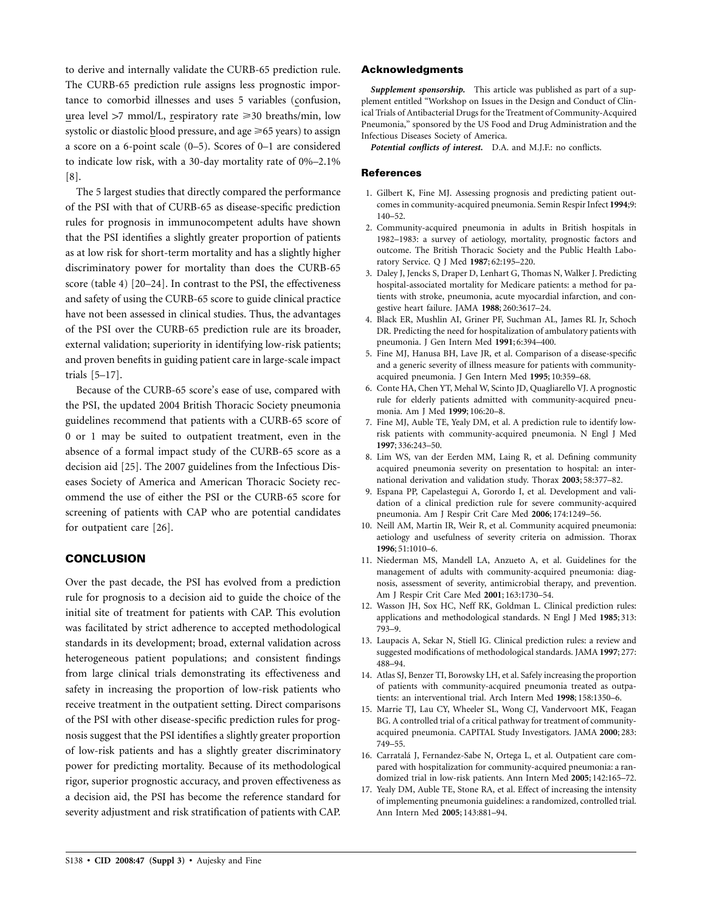to derive and internally validate the CURB-65 prediction rule. The CURB-65 prediction rule assigns less prognostic importance to comorbid illnesses and uses 5 variables (confusion, urea level  $>7$  mmol/L, respiratory rate  $\geq 30$  breaths/min, low systolic or diastolic  $\frac{b}{d}$  blood pressure, and age  $\geq 65$  years) to assign a score on a 6-point scale (0–5). Scores of 0–1 are considered to indicate low risk, with a 30-day mortality rate of 0%–2.1% [8].

The 5 largest studies that directly compared the performance of the PSI with that of CURB-65 as disease-specific prediction rules for prognosis in immunocompetent adults have shown that the PSI identifies a slightly greater proportion of patients as at low risk for short-term mortality and has a slightly higher discriminatory power for mortality than does the CURB-65 score (table 4) [20–24]. In contrast to the PSI, the effectiveness and safety of using the CURB-65 score to guide clinical practice have not been assessed in clinical studies. Thus, the advantages of the PSI over the CURB-65 prediction rule are its broader, external validation; superiority in identifying low-risk patients; and proven benefits in guiding patient care in large-scale impact trials [5–17].

Because of the CURB-65 score's ease of use, compared with the PSI, the updated 2004 British Thoracic Society pneumonia guidelines recommend that patients with a CURB-65 score of 0 or 1 may be suited to outpatient treatment, even in the absence of a formal impact study of the CURB-65 score as a decision aid [25]. The 2007 guidelines from the Infectious Diseases Society of America and American Thoracic Society recommend the use of either the PSI or the CURB-65 score for screening of patients with CAP who are potential candidates for outpatient care [26].

## **CONCLUSION**

Over the past decade, the PSI has evolved from a prediction rule for prognosis to a decision aid to guide the choice of the initial site of treatment for patients with CAP. This evolution was facilitated by strict adherence to accepted methodological standards in its development; broad, external validation across heterogeneous patient populations; and consistent findings from large clinical trials demonstrating its effectiveness and safety in increasing the proportion of low-risk patients who receive treatment in the outpatient setting. Direct comparisons of the PSI with other disease-specific prediction rules for prognosis suggest that the PSI identifies a slightly greater proportion of low-risk patients and has a slightly greater discriminatory power for predicting mortality. Because of its methodological rigor, superior prognostic accuracy, and proven effectiveness as a decision aid, the PSI has become the reference standard for severity adjustment and risk stratification of patients with CAP.

## **Acknowledgments**

*Supplement sponsorship.* This article was published as part of a supplement entitled "Workshop on Issues in the Design and Conduct of Clinical Trials of Antibacterial Drugs for the Treatment of Community-Acquired Pneumonia," sponsored by the US Food and Drug Administration and the Infectious Diseases Society of America.

*Potential conflicts of interest.* D.A. and M.J.F.: no conflicts.

#### **References**

- 1. Gilbert K, Fine MJ. Assessing prognosis and predicting patient outcomes in community-acquired pneumonia. Semin Respir Infect **1994**;9: 140–52.
- 2. Community-acquired pneumonia in adults in British hospitals in 1982–1983: a survey of aetiology, mortality, prognostic factors and outcome. The British Thoracic Society and the Public Health Laboratory Service. Q J Med **1987**; 62:195–220.
- 3. Daley J, Jencks S, Draper D, Lenhart G, Thomas N, Walker J. Predicting hospital-associated mortality for Medicare patients: a method for patients with stroke, pneumonia, acute myocardial infarction, and congestive heart failure. JAMA **1988**; 260:3617–24.
- 4. Black ER, Mushlin AI, Griner PF, Suchman AL, James RL Jr, Schoch DR. Predicting the need for hospitalization of ambulatory patients with pneumonia. J Gen Intern Med **1991**; 6:394–400.
- 5. Fine MJ, Hanusa BH, Lave JR, et al. Comparison of a disease-specific and a generic severity of illness measure for patients with communityacquired pneumonia. J Gen Intern Med **1995**; 10:359–68.
- 6. Conte HA, Chen YT, Mehal W, Scinto JD, Quagliarello VJ. A prognostic rule for elderly patients admitted with community-acquired pneumonia. Am J Med **1999**; 106:20–8.
- 7. Fine MJ, Auble TE, Yealy DM, et al. A prediction rule to identify lowrisk patients with community-acquired pneumonia. N Engl J Med **1997**; 336:243–50.
- 8. Lim WS, van der Eerden MM, Laing R, et al. Defining community acquired pneumonia severity on presentation to hospital: an international derivation and validation study. Thorax **2003**; 58:377–82.
- 9. Espana PP, Capelastegui A, Gorordo I, et al. Development and validation of a clinical prediction rule for severe community-acquired pneumonia. Am J Respir Crit Care Med **2006**; 174:1249–56.
- 10. Neill AM, Martin IR, Weir R, et al. Community acquired pneumonia: aetiology and usefulness of severity criteria on admission. Thorax **1996**; 51:1010–6.
- 11. Niederman MS, Mandell LA, Anzueto A, et al. Guidelines for the management of adults with community-acquired pneumonia: diagnosis, assessment of severity, antimicrobial therapy, and prevention. Am J Respir Crit Care Med **2001**; 163:1730–54.
- 12. Wasson JH, Sox HC, Neff RK, Goldman L. Clinical prediction rules: applications and methodological standards. N Engl J Med **1985**; 313: 793–9.
- 13. Laupacis A, Sekar N, Stiell IG. Clinical prediction rules: a review and suggested modifications of methodological standards. JAMA **1997**; 277: 488–94.
- 14. Atlas SJ, Benzer TI, Borowsky LH, et al. Safely increasing the proportion of patients with community-acquired pneumonia treated as outpatients: an interventional trial. Arch Intern Med **1998**; 158:1350–6.
- 15. Marrie TJ, Lau CY, Wheeler SL, Wong CJ, Vandervoort MK, Feagan BG. A controlled trial of a critical pathway for treatment of communityacquired pneumonia. CAPITAL Study Investigators. JAMA **2000**; 283: 749–55.
- 16. Carratalá J, Fernandez-Sabe N, Ortega L, et al. Outpatient care compared with hospitalization for community-acquired pneumonia: a randomized trial in low-risk patients. Ann Intern Med **2005**; 142:165–72.
- 17. Yealy DM, Auble TE, Stone RA, et al. Effect of increasing the intensity of implementing pneumonia guidelines: a randomized, controlled trial. Ann Intern Med **2005**; 143:881–94.